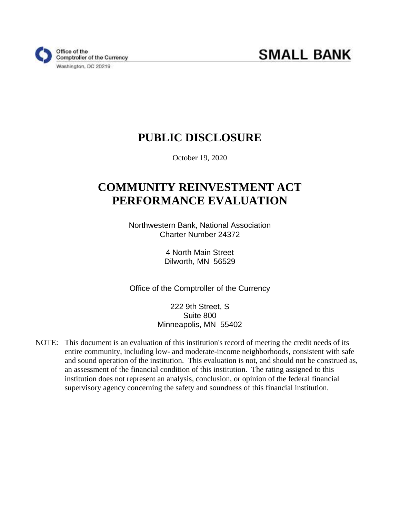

# **PUBLIC DISCLOSURE**

October 19, 2020

# **COMMUNITY REINVESTMENT ACT PERFORMANCE EVALUATION**

Northwestern Bank, National Association Charter Number 24372

> 4 North Main Street Dilworth, MN 56529

Office of the Comptroller of the Currency

222 9th Street, S Suite 800 Minneapolis, MN 55402

NOTE: This document is an evaluation of this institution's record of meeting the credit needs of its entire community, including low- and moderate-income neighborhoods, consistent with safe and sound operation of the institution. This evaluation is not, and should not be construed as, an assessment of the financial condition of this institution. The rating assigned to this institution does not represent an analysis, conclusion, or opinion of the federal financial supervisory agency concerning the safety and soundness of this financial institution.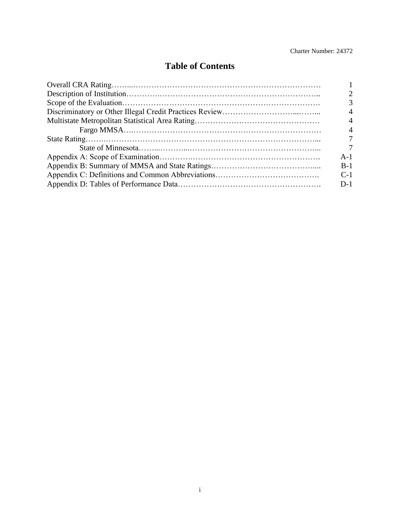### **Table of Contents**

<span id="page-1-0"></span>

| 4     |
|-------|
|       |
|       |
|       |
| $A-1$ |
| $B-1$ |
| $C-1$ |
| $D-1$ |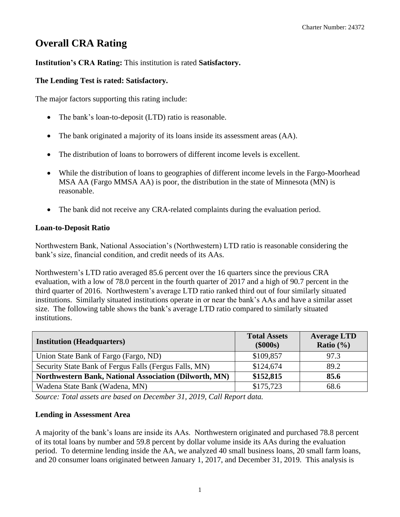# <span id="page-2-0"></span>**Overall CRA Rating**

#### **Institution's CRA Rating:** This institution is rated **Satisfactory.**

#### **The Lending Test is rated: Satisfactory.**

The major factors supporting this rating include:

- The bank's loan-to-deposit (LTD) ratio is reasonable.
- The bank originated a majority of its loans inside its assessment areas (AA).
- The distribution of loans to borrowers of different income levels is excellent.
- While the distribution of loans to geographies of different income levels in the Fargo-Moorhead MSA AA (Fargo MMSA AA) is poor, the distribution in the state of Minnesota (MN) is reasonable.
- The bank did not receive any CRA-related complaints during the evaluation period.

#### **Loan-to-Deposit Ratio**

Northwestern Bank, National Association's (Northwestern) LTD ratio is reasonable considering the bank's size, financial condition, and credit needs of its AAs.

 third quarter of 2016. Northwestern's average LTD ratio ranked third out of four similarly situated Northwestern's LTD ratio averaged 85.6 percent over the 16 quarters since the previous CRA evaluation, with a low of 78.0 percent in the fourth quarter of 2017 and a high of 90.7 percent in the institutions. Similarly situated institutions operate in or near the bank's AAs and have a similar asset size. The following table shows the bank's average LTD ratio compared to similarly situated institutions.

| <b>Institution (Headquarters)</b>                      | <b>Total Assets</b><br>$(\$000s)$ | <b>Average LTD</b><br>Ratio $(\% )$ |
|--------------------------------------------------------|-----------------------------------|-------------------------------------|
| Union State Bank of Fargo (Fargo, ND)                  | \$109,857                         | 97.3                                |
| Security State Bank of Fergus Falls (Fergus Falls, MN) | \$124,674                         | 89.2                                |
| Northwestern Bank, National Association (Dilworth, MN) | \$152,815                         | 85.6                                |
| Wadena State Bank (Wadena, MN)                         | \$175,723                         | 68.6                                |

*Source: Total assets are based on December 31, 2019, Call Report data.* 

#### **Lending in Assessment Area**

A majority of the bank's loans are inside its AAs. Northwestern originated and purchased 78.8 percent of its total loans by number and 59.8 percent by dollar volume inside its AAs during the evaluation period. To determine lending inside the AA, we analyzed 40 small business loans, 20 small farm loans, and 20 consumer loans originated between January 1, 2017, and December 31, 2019. This analysis is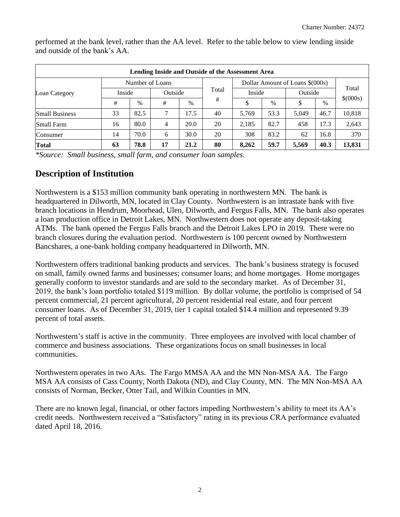|                                                    | Lending Inside and Outside of the Assessment Area |                   |    |      |       |        |      |         |      |          |  |  |  |  |
|----------------------------------------------------|---------------------------------------------------|-------------------|----|------|-------|--------|------|---------|------|----------|--|--|--|--|
| Dollar Amount of Loans \$(000s)<br>Number of Loans |                                                   |                   |    |      |       |        |      |         |      |          |  |  |  |  |
| Loan Category                                      |                                                   | Inside<br>Outside |    |      | Total | Inside |      | Outside |      | Total    |  |  |  |  |
|                                                    | #                                                 | $\%$              | #  | $\%$ | #     |        | $\%$ | \$      | $\%$ | \$(000s) |  |  |  |  |
| <b>Small Business</b>                              | 33                                                | 82.5              |    | 17.5 | 40    | 5.769  | 53.3 | 5.049   | 46.7 | 10,818   |  |  |  |  |
| <b>Small Farm</b>                                  | 16                                                | 80.0              | 4  | 20.0 | 20    | 2,185  | 82.7 | 458     | 17.3 | 2,643    |  |  |  |  |
| Consumer                                           | 14                                                | 70.0              | 6  | 30.0 | 20    | 308    | 83.2 | 62      | 16.8 | 370      |  |  |  |  |
| <b>Total</b>                                       | 63                                                | 78.8              | 17 | 21.2 | 80    | 8.262  | 59.7 | 5,569   | 40.3 | 13,831   |  |  |  |  |

performed at the bank level, rather than the AA level. Refer to the table below to view lending inside and outside of the bank's AA.

*\*Source: Small business, small farm, and consumer loan samples.* 

### <span id="page-3-0"></span>**Description of Institution**

Northwestern is a \$153 million community bank operating in northwestern MN. The bank is headquartered in Dilworth, MN, located in Clay County. Northwestern is an intrastate bank with five branch locations in Hendrum, Moorhead, Ulen, Dilworth, and Fergus Falls, MN. The bank also operates a loan production office in Detroit Lakes, MN. Northwestern does not operate any deposit-taking ATMs. The bank opened the Fergus Falls branch and the Detroit Lakes LPO in 2019. There were no branch closures during the evaluation period. Northwestern is 100 percent owned by Northwestern Bancshares, a one-bank holding company headquartered in Dilworth, MN.

 Northwestern offers traditional banking products and services. The bank's business strategy is focused on small, family owned farms and businesses; consumer loans; and home mortgages. Home mortgages generally conform to investor standards and are sold to the secondary market. As of December 31, 2019, the bank's loan portfolio totaled \$119 million. By dollar volume, the portfolio is comprised of 54 percent commercial, 21 percent agricultural, 20 percent residential real estate, and four percent consumer loans. As of December 31, 2019, tier 1 capital totaled \$14.4 million and represented 9.39 percent of total assets.

Northwestern's staff is active in the community. Three employees are involved with local chamber of commerce and business associations. These organizations focus on small businesses in local communities.

Northwestern operates in two AAs. The Fargo MMSA AA and the MN Non-MSA AA. The Fargo MSA AA consists of Cass County, North Dakota (ND), and Clay County, MN. The MN Non-MSA AA consists of Norman, Becker, Otter Tail, and Wilkin Counties in MN.

There are no known legal, financial, or other factors impeding Northwestern's ability to meet its AA's credit needs. Northwestern received a "Satisfactory" rating in its previous CRA performance evaluated dated April 18, 2016.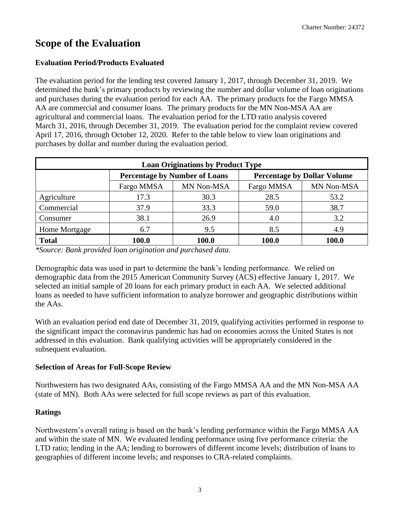## <span id="page-4-0"></span>**Scope of the Evaluation**

#### **Evaluation Period/Products Evaluated**

The evaluation period for the lending test covered January 1, 2017, through December 31, 2019. We determined the bank's primary products by reviewing the number and dollar volume of loan originations and purchases during the evaluation period for each AA. The primary products for the Fargo MMSA AA are commercial and consumer loans. The primary products for the MN Non-MSA AA are agricultural and commercial loans. The evaluation period for the LTD ratio analysis covered March 31, 2016, through December 31, 2019. The evaluation period for the complaint review covered April 17, 2016, through October 12, 2020. Refer to the table below to view loan originations and purchases by dollar and number during the evaluation period.

|                                                      |       | <b>Loan Originations by Product Type</b>                                   |              |       |  |  |  |  |  |  |  |  |  |  |
|------------------------------------------------------|-------|----------------------------------------------------------------------------|--------------|-------|--|--|--|--|--|--|--|--|--|--|
|                                                      |       | <b>Percentage by Number of Loans</b><br><b>Percentage by Dollar Volume</b> |              |       |  |  |  |  |  |  |  |  |  |  |
| MN Non-MSA<br>MN Non-MSA<br>Fargo MMSA<br>Fargo MMSA |       |                                                                            |              |       |  |  |  |  |  |  |  |  |  |  |
| Agriculture                                          | 17.3  | 30.3                                                                       | 28.5         | 53.2  |  |  |  |  |  |  |  |  |  |  |
| Commercial                                           | 37.9  | 33.3                                                                       | 59.0         | 38.7  |  |  |  |  |  |  |  |  |  |  |
| Consumer                                             | 38.1  | 26.9                                                                       | 4.0          | 3.2   |  |  |  |  |  |  |  |  |  |  |
| Home Mortgage                                        | 6.7   | 9.5                                                                        | 8.5          | 4.9   |  |  |  |  |  |  |  |  |  |  |
| <b>Total</b>                                         | 100.0 | 100.0                                                                      | <b>100.0</b> | 100.0 |  |  |  |  |  |  |  |  |  |  |

*\*Source: Bank provided loan origination and purchased data.* 

Demographic data was used in part to determine the bank's lending performance. We relied on demographic data from the 2015 American Community Survey (ACS) effective January 1, 2017. We selected an initial sample of 20 loans for each primary product in each AA. We selected additional loans as needed to have sufficient information to analyze borrower and geographic distributions within the AAs.

 With an evaluation period end date of December 31, 2019, qualifying activities performed in response to addressed in this evaluation. Bank qualifying activities will be appropriately considered in the the significant impact the coronavirus pandemic has had on economies across the United States is not subsequent evaluation.

#### **Selection of Areas for Full-Scope Review**

Northwestern has two designated AAs, consisting of the Fargo MMSA AA and the MN Non-MSA AA (state of MN). Both AAs were selected for full scope reviews as part of this evaluation.

#### **Ratings**

 and within the state of MN. We evaluated lending performance using five performance criteria: the Northwestern's overall rating is based on the bank's lending performance within the Fargo MMSA AA LTD ratio; lending in the AA; lending to borrowers of different income levels; distribution of loans to geographies of different income levels; and responses to CRA-related complaints.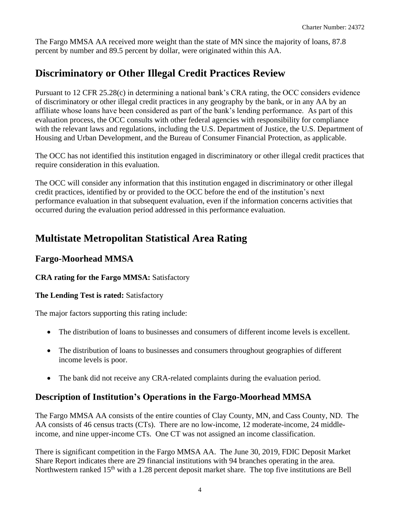The Fargo MMSA AA received more weight than the state of MN since the majority of loans, 87.8 percent by number and 89.5 percent by dollar, were originated within this AA.

## <span id="page-5-0"></span>**Discriminatory or Other Illegal Credit Practices Review**

Pursuant to 12 CFR 25.28(c) in determining a national bank's CRA rating, the OCC considers evidence of discriminatory or other illegal credit practices in any geography by the bank, or in any AA by an affiliate whose loans have been considered as part of the bank's lending performance. As part of this evaluation process, the OCC consults with other federal agencies with responsibility for compliance with the relevant laws and regulations, including the U.S. Department of Justice, the U.S. Department of Housing and Urban Development, and the Bureau of Consumer Financial Protection, as applicable.

The OCC has not identified this institution engaged in discriminatory or other illegal credit practices that require consideration in this evaluation.

The OCC will consider any information that this institution engaged in discriminatory or other illegal credit practices, identified by or provided to the OCC before the end of the institution's next performance evaluation in that subsequent evaluation, even if the information concerns activities that occurred during the evaluation period addressed in this performance evaluation.

## <span id="page-5-1"></span>**Multistate Metropolitan Statistical Area Rating**

### **Fargo-Moorhead MMSA**

#### **CRA rating for the Fargo MMSA:** Satisfactory

#### **The Lending Test is rated:** Satisfactory

The major factors supporting this rating include:

- The distribution of loans to businesses and consumers of different income levels is excellent.
- The distribution of loans to businesses and consumers throughout geographies of different income levels is poor.
- The bank did not receive any CRA-related complaints during the evaluation period.

### **Description of Institution's Operations in the Fargo-Moorhead MMSA**

The Fargo MMSA AA consists of the entire counties of Clay County, MN, and Cass County, ND. The AA consists of 46 census tracts (CTs). There are no low-income, 12 moderate-income, 24 middleincome, and nine upper-income CTs. One CT was not assigned an income classification.

There is significant competition in the Fargo MMSA AA. The June 30, 2019, FDIC Deposit Market Share Report indicates there are 29 financial institutions with 94 branches operating in the area. Northwestern ranked 15<sup>th</sup> with a 1.28 percent deposit market share. The top five institutions are Bell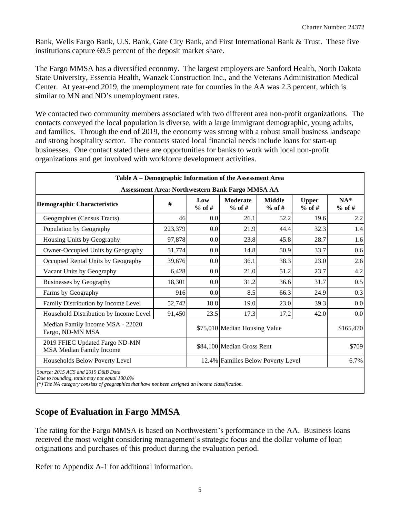Bank, Wells Fargo Bank, U.S. Bank, Gate City Bank, and First International Bank & Trust. These five institutions capture 69.5 percent of the deposit market share.

 The Fargo MMSA has a diversified economy. The largest employers are Sanford Health, North Dakota State University, Essentia Health, Wanzek Construction Inc., and the Veterans Administration Medical Center. At year-end 2019, the unemployment rate for counties in the AA was 2.3 percent, which is similar to MN and ND's unemployment rates.

We contacted two community members associated with two different area non-profit organizations. The contacts conveyed the local population is diverse, with a large immigrant demographic, young adults, and families. Through the end of 2019, the economy was strong with a robust small business landscape and strong hospitality sector. The contacts stated local financial needs include loans for start-up businesses. One contact stated there are opportunities for banks to work with local non-profit organizations and get involved with workforce development activities.

| Table A - Demographic Information of the Assessment Area                           |         |                 |                                                  |                           |                          |                   |
|------------------------------------------------------------------------------------|---------|-----------------|--------------------------------------------------|---------------------------|--------------------------|-------------------|
|                                                                                    |         |                 | Assessment Area: Northwestern Bank Fargo MMSA AA |                           |                          |                   |
| <b>Demographic Characteristics</b>                                                 | #       | Low<br>$%$ of # | <b>Moderate</b><br>$%$ of #                      | <b>Middle</b><br>$%$ of # | <b>Upper</b><br>$%$ of # | $NA*$<br>$%$ of # |
| Geographies (Census Tracts)                                                        | 46      | 0.0             | 26.1                                             | 52.2                      | 19.6                     | 2.2               |
| Population by Geography                                                            | 223,379 | 0.0             | 21.9                                             | 44.4                      | 32.3                     | 1.4               |
| Housing Units by Geography                                                         | 97,878  | 0.0             | 23.8                                             | 45.8                      | 28.7                     | 1.6               |
| Owner-Occupied Units by Geography                                                  | 51,774  | 0.0             | 14.8                                             | 50.9                      | 33.7                     | 0.6               |
| Occupied Rental Units by Geography                                                 | 39,676  | 0.0             | 36.1                                             | 38.3                      | 23.0                     | 2.6               |
| Vacant Units by Geography                                                          | 6,428   | 0.0             | 21.0                                             | 51.2                      | 23.7                     | 4.2               |
| <b>Businesses by Geography</b>                                                     | 18,301  | 0.0             | 31.2                                             | 36.6                      | 31.7                     | 0.5               |
| Farms by Geography                                                                 | 916     | 0.0             | 8.5                                              | 66.3                      | 24.9                     | 0.3               |
| Family Distribution by Income Level                                                | 52,742  | 18.8            | 19.0                                             | 23.0                      | 39.3                     | 0.0               |
| Household Distribution by Income Level                                             | 91,450  | 23.5            | 17.3                                             | 17.2                      | 42.0                     | 0.0               |
| Median Family Income MSA - 22020<br>Fargo, ND-MN MSA                               |         |                 | \$75,010 Median Housing Value                    |                           |                          | \$165,470         |
| 2019 FFIEC Updated Fargo ND-MN<br><b>MSA Median Family Income</b>                  |         |                 | \$84,100 Median Gross Rent                       |                           |                          | \$709             |
| Households Below Poverty Level                                                     |         |                 | 12.4% Families Below Poverty Level               |                           |                          | 6.7%              |
| Source: 2015 ACS and 2019 D&B Data<br>Due to rounding, totals may not equal 100.0% |         |                 |                                                  |                           |                          |                   |

 *(\*) The NA category consists of geographies that have not been assigned an income classification.* 

### **Scope of Evaluation in Fargo MMSA**

 The rating for the Fargo MMSA is based on Northwestern's performance in the AA. Business loans received the most weight considering management's strategic focus and the dollar volume of loan originations and purchases of this product during the evaluation period.

Refer to Appendix A-1 for additional information.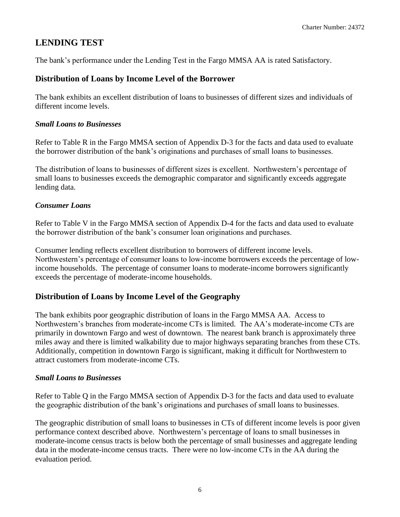### **LENDING TEST**

The bank's performance under the Lending Test in the Fargo MMSA AA is rated Satisfactory.

#### **Distribution of Loans by Income Level of the Borrower**

The bank exhibits an excellent distribution of loans to businesses of different sizes and individuals of different income levels.

#### *Small Loans to Businesses*

Refer to Table R in the Fargo MMSA section of Appendix D-3 for the facts and data used to evaluate the borrower distribution of the bank's originations and purchases of small loans to businesses.

The distribution of loans to businesses of different sizes is excellent. Northwestern's percentage of small loans to businesses exceeds the demographic comparator and significantly exceeds aggregate lending data.

#### *Consumer Loans*

Refer to Table V in the Fargo MMSA section of Appendix D-4 for the facts and data used to evaluate the borrower distribution of the bank's consumer loan originations and purchases.

Consumer lending reflects excellent distribution to borrowers of different income levels. Northwestern's percentage of consumer loans to low-income borrowers exceeds the percentage of lowincome households. The percentage of consumer loans to moderate-income borrowers significantly exceeds the percentage of moderate-income households.

#### **Distribution of Loans by Income Level of the Geography**

 The bank exhibits poor geographic distribution of loans in the Fargo MMSA AA. Access to Northwestern's branches from moderate-income CTs is limited. The AA's moderate-income CTs are primarily in downtown Fargo and west of downtown. The nearest bank branch is approximately three miles away and there is limited walkability due to major highways separating branches from these CTs. Additionally, competition in downtown Fargo is significant, making it difficult for Northwestern to attract customers from moderate-income CTs.

#### *Small Loans to Businesses*

Refer to Table Q in the Fargo MMSA section of Appendix D-3 for the facts and data used to evaluate the geographic distribution of the bank's originations and purchases of small loans to businesses.

 data in the moderate-income census tracts. There were no low-income CTs in the AA during the The geographic distribution of small loans to businesses in CTs of different income levels is poor given performance context described above. Northwestern's percentage of loans to small businesses in moderate-income census tracts is below both the percentage of small businesses and aggregate lending evaluation period.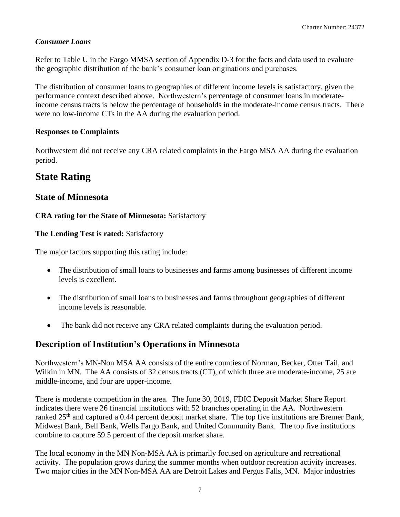#### *Consumer Loans*

Refer to Table U in the Fargo MMSA section of Appendix D-3 for the facts and data used to evaluate the geographic distribution of the bank's consumer loan originations and purchases.

 income census tracts is below the percentage of households in the moderate-income census tracts. There The distribution of consumer loans to geographies of different income levels is satisfactory, given the performance context described above. Northwestern's percentage of consumer loans in moderatewere no low-income CTs in the AA during the evaluation period.

#### **Responses to Complaints**

Northwestern did not receive any CRA related complaints in the Fargo MSA AA during the evaluation period.

## <span id="page-8-0"></span>**State Rating**

### <span id="page-8-1"></span>**State of Minnesota**

#### **CRA rating for the State of Minnesota:** Satisfactory

#### **The Lending Test is rated:** Satisfactory

The major factors supporting this rating include:

- The distribution of small loans to businesses and farms among businesses of different income levels is excellent.
- The distribution of small loans to businesses and farms throughout geographies of different income levels is reasonable.
- The bank did not receive any CRA related complaints during the evaluation period.

### **Description of Institution's Operations in Minnesota**

Northwestern's MN-Non MSA AA consists of the entire counties of Norman, Becker, Otter Tail, and Wilkin in MN. The AA consists of 32 census tracts (CT), of which three are moderate-income, 25 are middle-income, and four are upper-income.

There is moderate competition in the area. The June 30, 2019, FDIC Deposit Market Share Report indicates there were 26 financial institutions with 52 branches operating in the AA. Northwestern ranked 25<sup>th</sup> and captured a 0.44 percent deposit market share. The top five institutions are Bremer Bank, Midwest Bank, Bell Bank, Wells Fargo Bank, and United Community Bank. The top five institutions combine to capture 59.5 percent of the deposit market share.

The local economy in the MN Non-MSA AA is primarily focused on agriculture and recreational activity. The population grows during the summer months when outdoor recreation activity increases. Two major cities in the MN Non-MSA AA are Detroit Lakes and Fergus Falls, MN. Major industries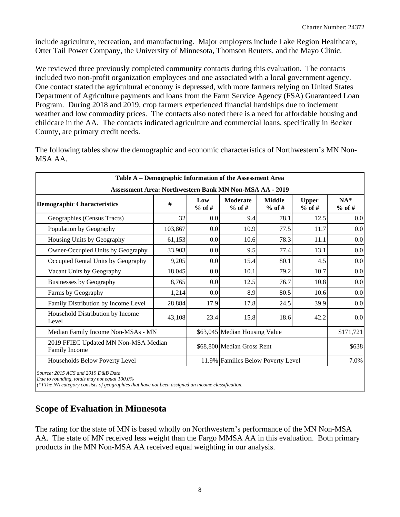include agriculture, recreation, and manufacturing. Major employers include Lake Region Healthcare, Otter Tail Power Company, the University of Minnesota, Thomson Reuters, and the Mayo Clinic.

We reviewed three previously completed community contacts during this evaluation. The contacts included two non-profit organization employees and one associated with a local government agency. One contact stated the agricultural economy is depressed, with more farmers relying on United States Department of Agriculture payments and loans from the Farm Service Agency (FSA) Guaranteed Loan Program. During 2018 and 2019, crop farmers experienced financial hardships due to inclement weather and low commodity prices. The contacts also noted there is a need for affordable housing and childcare in the AA. The contacts indicated agriculture and commercial loans, specifically in Becker County, are primary credit needs.

The following tables show the demographic and economic characteristics of Northwestern's MN Non-MSA AA.

| Table A – Demographic Information of the Assessment Area       |         |                 |                                    |                           |                          |                   |
|----------------------------------------------------------------|---------|-----------------|------------------------------------|---------------------------|--------------------------|-------------------|
| <b>Assessment Area: Northwestern Bank MN Non-MSA AA - 2019</b> |         |                 |                                    |                           |                          |                   |
| <b>Demographic Characteristics</b>                             | #       | Low<br>$%$ of # | <b>Moderate</b><br>$%$ of #        | <b>Middle</b><br>$%$ of # | <b>Upper</b><br>$%$ of # | $NA*$<br>$%$ of # |
| Geographies (Census Tracts)                                    | 32      | 0.0             | 9.4                                | 78.1                      | 12.5                     | 0.0               |
| Population by Geography                                        | 103,867 | 0.0             | 10.9                               | 77.5                      | 11.7                     | 0.0               |
| Housing Units by Geography                                     | 61,153  | 0.0             | 10.6                               | 78.3                      | 11.1                     | 0.0               |
| Owner-Occupied Units by Geography                              | 33,903  | 0.0             | 9.5                                | 77.4                      | 13.1                     | 0.0               |
| Occupied Rental Units by Geography                             | 9,205   | 0.0             | 15.4                               | 80.1                      | 4.5                      | 0.0               |
| Vacant Units by Geography                                      | 18,045  | 0.0             | 10.1                               | 79.2                      | 10.7                     | 0.0               |
| <b>Businesses by Geography</b>                                 | 8,765   | 0.0             | 12.5                               | 76.7                      | 10.8                     | 0.0               |
| Farms by Geography                                             | 1,214   | 0.0             | 8.9                                | 80.5                      | 10.6                     | 0.0               |
| Family Distribution by Income Level                            | 28,884  | 17.9            | 17.8                               | 24.5                      | 39.9                     | 0.0               |
| Household Distribution by Income<br>Level                      | 43,108  | 23.4            | 15.8                               | 18.6                      | 42.2                     | 0.0               |
| Median Family Income Non-MSAs - MN                             |         |                 | \$63,045 Median Housing Value      |                           |                          | \$171,721         |
| 2019 FFIEC Updated MN Non-MSA Median<br>Family Income          |         |                 | \$68,800 Median Gross Rent         |                           |                          | \$638             |
| Households Below Poverty Level                                 |         |                 | 11.9% Families Below Poverty Level |                           |                          | 7.0%              |

 *(\*) The NA category consists of geographies that have not been assigned an income classification.* 

### **Scope of Evaluation in Minnesota**

The rating for the state of MN is based wholly on Northwestern's performance of the MN Non-MSA AA. The state of MN received less weight than the Fargo MMSA AA in this evaluation. Both primary products in the MN Non-MSA AA received equal weighting in our analysis.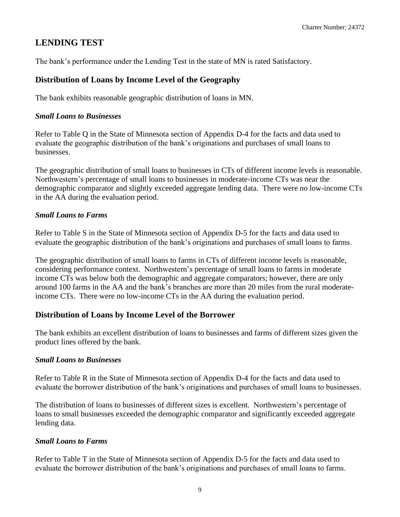### **LENDING TEST**

The bank's performance under the Lending Test in the state of MN is rated Satisfactory.

#### **Distribution of Loans by Income Level of the Geography**

The bank exhibits reasonable geographic distribution of loans in MN.

#### *Small Loans to Businesses*

Refer to Table Q in the State of Minnesota section of Appendix D-4 for the facts and data used to evaluate the geographic distribution of the bank's originations and purchases of small loans to businesses.

 demographic comparator and slightly exceeded aggregate lending data. There were no low-income CTs The geographic distribution of small loans to businesses in CTs of different income levels is reasonable. Northwestern's percentage of small loans to businesses in moderate-income CTs was near the in the AA during the evaluation period.

#### *Small Loans to Farms*

Refer to Table S in the State of Minnesota section of Appendix D-5 for the facts and data used to evaluate the geographic distribution of the bank's originations and purchases of small loans to farms.

 income CTs. There were no low-income CTs in the AA during the evaluation period. The geographic distribution of small loans to farms in CTs of different income levels is reasonable, considering performance context. Northwestern's percentage of small loans to farms in moderate income CTs was below both the demographic and aggregate comparators; however, there are only around 100 farms in the AA and the bank's branches are more than 20 miles from the rural moderate-

#### **Distribution of Loans by Income Level of the Borrower**

The bank exhibits an excellent distribution of loans to businesses and farms of different sizes given the product lines offered by the bank.

#### *Small Loans to Businesses*

Refer to Table R in the State of Minnesota section of Appendix D-4 for the facts and data used to evaluate the borrower distribution of the bank's originations and purchases of small loans to businesses.

The distribution of loans to businesses of different sizes is excellent. Northwestern's percentage of loans to small businesses exceeded the demographic comparator and significantly exceeded aggregate lending data.

#### *Small Loans to Farms*

Refer to Table T in the State of Minnesota section of Appendix D-5 for the facts and data used to evaluate the borrower distribution of the bank's originations and purchases of small loans to farms.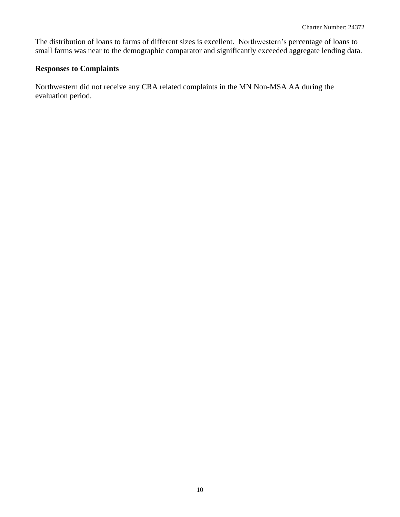The distribution of loans to farms of different sizes is excellent. Northwestern's percentage of loans to small farms was near to the demographic comparator and significantly exceeded aggregate lending data.

#### **Responses to Complaints**

Northwestern did not receive any CRA related complaints in the MN Non-MSA AA during the evaluation period.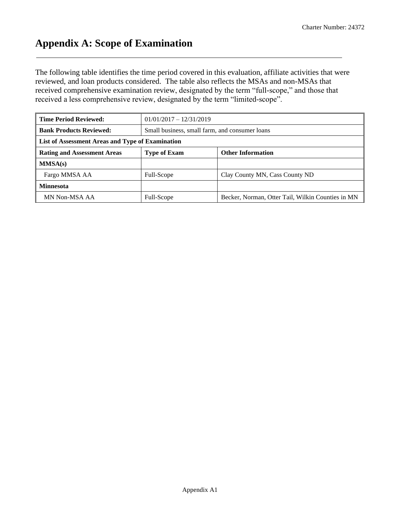## <span id="page-12-0"></span>**Appendix A: Scope of Examination**

The following table identifies the time period covered in this evaluation, affiliate activities that were reviewed, and loan products considered. The table also reflects the MSAs and non-MSAs that received comprehensive examination review, designated by the term "full-scope," and those that received a less comprehensive review, designated by the term "limited-scope".

| <b>Time Period Reviewed:</b>                     |                                                |                                                   |  |  |  |  |  |  |
|--------------------------------------------------|------------------------------------------------|---------------------------------------------------|--|--|--|--|--|--|
| <b>Bank Products Reviewed:</b>                   | Small business, small farm, and consumer loans |                                                   |  |  |  |  |  |  |
| List of Assessment Areas and Type of Examination |                                                |                                                   |  |  |  |  |  |  |
| <b>Rating and Assessment Areas</b>               | <b>Type of Exam</b>                            | <b>Other Information</b>                          |  |  |  |  |  |  |
| MMSA(s)                                          |                                                |                                                   |  |  |  |  |  |  |
| Fargo MMSA AA                                    | Full-Scope                                     | Clay County MN, Cass County ND                    |  |  |  |  |  |  |
| <b>Minnesota</b>                                 |                                                |                                                   |  |  |  |  |  |  |
| MN Non-MSA AA                                    | Full-Scope                                     | Becker, Norman, Otter Tail, Wilkin Counties in MN |  |  |  |  |  |  |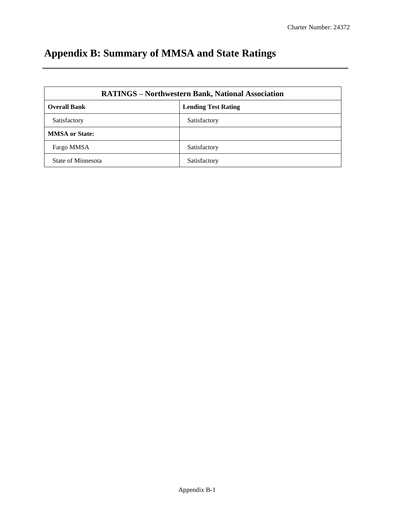# <span id="page-13-0"></span>**Appendix B: Summary of MMSA and State Ratings**

|                       | <b>RATINGS - Northwestern Bank, National Association</b> |
|-----------------------|----------------------------------------------------------|
| <b>Overall Bank</b>   | <b>Lending Test Rating</b>                               |
| Satisfactory          | Satisfactory                                             |
| <b>MMSA</b> or State: |                                                          |
| Fargo MMSA            | Satisfactory                                             |
| State of Minnesota    | Satisfactory                                             |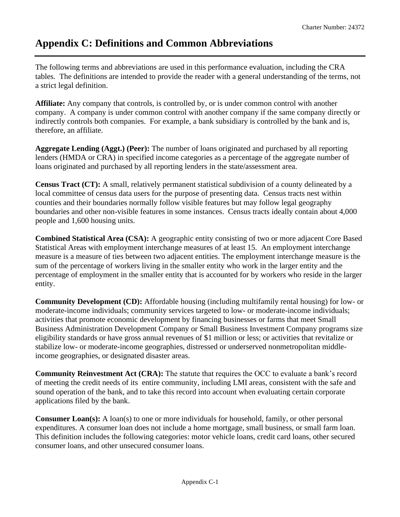## <span id="page-14-0"></span>**Appendix C: Definitions and Common Abbreviations**

The following terms and abbreviations are used in this performance evaluation, including the CRA tables. The definitions are intended to provide the reader with a general understanding of the terms, not a strict legal definition.

**Affiliate:** Any company that controls, is controlled by, or is under common control with another company. A company is under common control with another company if the same company directly or indirectly controls both companies. For example, a bank subsidiary is controlled by the bank and is, therefore, an affiliate.

**Aggregate Lending (Aggt.) (Peer):** The number of loans originated and purchased by all reporting lenders (HMDA or CRA) in specified income categories as a percentage of the aggregate number of loans originated and purchased by all reporting lenders in the state/assessment area.

**Census Tract (CT):** A small, relatively permanent statistical subdivision of a county delineated by a local committee of census data users for the purpose of presenting data. Census tracts nest within counties and their boundaries normally follow visible features but may follow legal geography boundaries and other non-visible features in some instances. Census tracts ideally contain about 4,000 people and 1,600 housing units.

**Combined Statistical Area (CSA):** A geographic entity consisting of two or more adjacent Core Based Statistical Areas with employment interchange measures of at least 15. An employment interchange measure is a measure of ties between two adjacent entities. The employment interchange measure is the sum of the percentage of workers living in the smaller entity who work in the larger entity and the percentage of employment in the smaller entity that is accounted for by workers who reside in the larger entity.

**Community Development (CD):** Affordable housing (including multifamily rental housing) for low- or moderate-income individuals; community services targeted to low- or moderate-income individuals; activities that promote economic development by financing businesses or farms that meet Small Business Administration Development Company or Small Business Investment Company programs size eligibility standards or have gross annual revenues of \$1 million or less; or activities that revitalize or stabilize low- or moderate-income geographies, distressed or underserved nonmetropolitan middleincome geographies, or designated disaster areas.

**Community Reinvestment Act (CRA):** The statute that requires the OCC to evaluate a bank's record of meeting the credit needs of its entire community, including LMI areas, consistent with the safe and sound operation of the bank, and to take this record into account when evaluating certain corporate applications filed by the bank.

**Consumer Loan(s):** A loan(s) to one or more individuals for household, family, or other personal expenditures. A consumer loan does not include a home mortgage, small business, or small farm loan. This definition includes the following categories: motor vehicle loans, credit card loans, other secured consumer loans, and other unsecured consumer loans.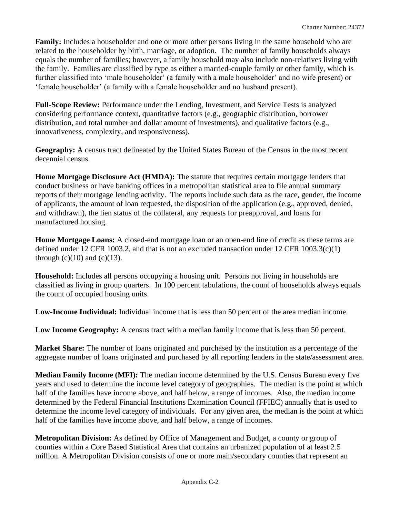**Family:** Includes a householder and one or more other persons living in the same household who are related to the householder by birth, marriage, or adoption. The number of family households always equals the number of families; however, a family household may also include non-relatives living with the family. Families are classified by type as either a married-couple family or other family, which is further classified into 'male householder' (a family with a male householder' and no wife present) or 'female householder' (a family with a female householder and no husband present).

**Full-Scope Review:** Performance under the Lending, Investment, and Service Tests is analyzed considering performance context, quantitative factors (e.g., geographic distribution, borrower distribution, and total number and dollar amount of investments), and qualitative factors (e.g., innovativeness, complexity, and responsiveness).

**Geography:** A census tract delineated by the United States Bureau of the Census in the most recent decennial census.

**Home Mortgage Disclosure Act (HMDA):** The statute that requires certain mortgage lenders that conduct business or have banking offices in a metropolitan statistical area to file annual summary reports of their mortgage lending activity. The reports include such data as the race, gender, the income of applicants, the amount of loan requested, the disposition of the application (e.g., approved, denied, and withdrawn), the lien status of the collateral, any requests for preapproval, and loans for manufactured housing.

**Home Mortgage Loans:** A closed-end mortgage loan or an open-end line of credit as these terms are defined under 12 CFR 1003.2, and that is not an excluded transaction under 12 CFR 1003.3(c)(1) through  $(c)(10)$  and  $(c)(13)$ .

**Household:** Includes all persons occupying a housing unit. Persons not living in households are classified as living in group quarters. In 100 percent tabulations, the count of households always equals the count of occupied housing units.

**Low-Income Individual:** Individual income that is less than 50 percent of the area median income.

Low Income Geography: A census tract with a median family income that is less than 50 percent.

**Market Share:** The number of loans originated and purchased by the institution as a percentage of the aggregate number of loans originated and purchased by all reporting lenders in the state/assessment area.

**Median Family Income (MFI):** The median income determined by the U.S. Census Bureau every five years and used to determine the income level category of geographies. The median is the point at which half of the families have income above, and half below, a range of incomes. Also, the median income determined by the Federal Financial Institutions Examination Council (FFIEC) annually that is used to determine the income level category of individuals. For any given area, the median is the point at which half of the families have income above, and half below, a range of incomes.

**Metropolitan Division:** As defined by Office of Management and Budget, a county or group of counties within a Core Based Statistical Area that contains an urbanized population of at least 2.5 million. A Metropolitan Division consists of one or more main/secondary counties that represent an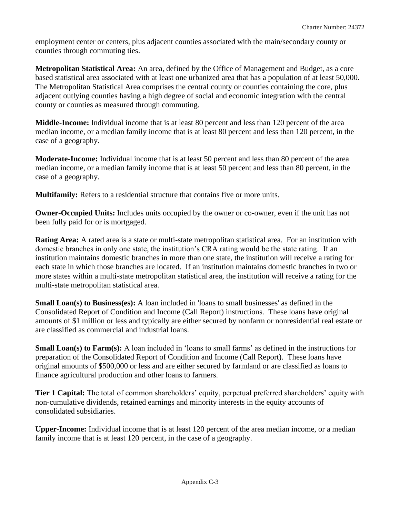employment center or centers, plus adjacent counties associated with the main/secondary county or counties through commuting ties.

**Metropolitan Statistical Area:** An area, defined by the Office of Management and Budget, as a core based statistical area associated with at least one urbanized area that has a population of at least 50,000. The Metropolitan Statistical Area comprises the central county or counties containing the core, plus adjacent outlying counties having a high degree of social and economic integration with the central county or counties as measured through commuting.

**Middle-Income:** Individual income that is at least 80 percent and less than 120 percent of the area median income, or a median family income that is at least 80 percent and less than 120 percent, in the case of a geography.

**Moderate-Income:** Individual income that is at least 50 percent and less than 80 percent of the area median income, or a median family income that is at least 50 percent and less than 80 percent, in the case of a geography.

**Multifamily:** Refers to a residential structure that contains five or more units.

**Owner-Occupied Units:** Includes units occupied by the owner or co-owner, even if the unit has not been fully paid for or is mortgaged.

**Rating Area:** A rated area is a state or multi-state metropolitan statistical area. For an institution with domestic branches in only one state, the institution's CRA rating would be the state rating. If an institution maintains domestic branches in more than one state, the institution will receive a rating for each state in which those branches are located. If an institution maintains domestic branches in two or more states within a multi-state metropolitan statistical area, the institution will receive a rating for the multi-state metropolitan statistical area.

**Small Loan(s) to Business(es):** A loan included in 'loans to small businesses' as defined in the Consolidated Report of Condition and Income (Call Report) instructions. These loans have original amounts of \$1 million or less and typically are either secured by nonfarm or nonresidential real estate or are classified as commercial and industrial loans.

**Small Loan(s) to Farm(s):** A loan included in 'loans to small farms' as defined in the instructions for preparation of the Consolidated Report of Condition and Income (Call Report). These loans have original amounts of \$500,000 or less and are either secured by farmland or are classified as loans to finance agricultural production and other loans to farmers.

**Tier 1 Capital:** The total of common shareholders' equity, perpetual preferred shareholders' equity with non-cumulative dividends, retained earnings and minority interests in the equity accounts of consolidated subsidiaries.

**Upper-Income:** Individual income that is at least 120 percent of the area median income, or a median family income that is at least 120 percent, in the case of a geography.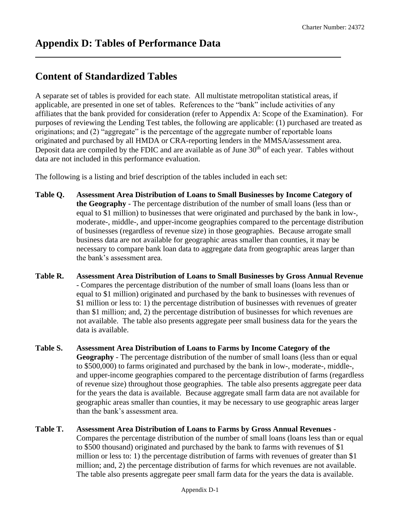## <span id="page-17-0"></span>**Content of Standardized Tables**

A separate set of tables is provided for each state. All multistate metropolitan statistical areas, if applicable, are presented in one set of tables. References to the "bank" include activities of any affiliates that the bank provided for consideration (refer to Appendix A: Scope of the Examination). For purposes of reviewing the Lending Test tables, the following are applicable: (1) purchased are treated as originations; and (2) "aggregate" is the percentage of the aggregate number of reportable loans originated and purchased by all HMDA or CRA-reporting lenders in the MMSA/assessment area. Deposit data are compiled by the FDIC and are available as of June 30<sup>th</sup> of each year. Tables without data are not included in this performance evaluation.

The following is a listing and brief description of the tables included in each set:

- **Table Q. Assessment Area Distribution of Loans to Small Businesses by Income Category of the Geography** - The percentage distribution of the number of small loans (less than or equal to \$1 million) to businesses that were originated and purchased by the bank in low-, moderate-, middle-, and upper-income geographies compared to the percentage distribution of businesses (regardless of revenue size) in those geographies. Because arrogate small business data are not available for geographic areas smaller than counties, it may be necessary to compare bank loan data to aggregate data from geographic areas larger than the bank's assessment area.
- **Table R. Assessment Area Distribution of Loans to Small Businesses by Gross Annual Revenue**  - Compares the percentage distribution of the number of small loans (loans less than or equal to \$1 million) originated and purchased by the bank to businesses with revenues of \$1 million or less to: 1) the percentage distribution of businesses with revenues of greater than \$1 million; and, 2) the percentage distribution of businesses for which revenues are not available. The table also presents aggregate peer small business data for the years the data is available.
- **Table S. Assessment Area Distribution of Loans to Farms by Income Category of the Geography** - The percentage distribution of the number of small loans (less than or equal to \$500,000) to farms originated and purchased by the bank in low-, moderate-, middle-, and upper-income geographies compared to the percentage distribution of farms (regardless of revenue size) throughout those geographies. The table also presents aggregate peer data for the years the data is available. Because aggregate small farm data are not available for geographic areas smaller than counties, it may be necessary to use geographic areas larger than the bank's assessment area.

#### **Table T. Assessment Area Distribution of Loans to Farms by Gross Annual Revenues** - Compares the percentage distribution of the number of small loans (loans less than or equal to \$500 thousand) originated and purchased by the bank to farms with revenues of \$1 million or less to: 1) the percentage distribution of farms with revenues of greater than \$1 million; and, 2) the percentage distribution of farms for which revenues are not available.

The table also presents aggregate peer small farm data for the years the data is available.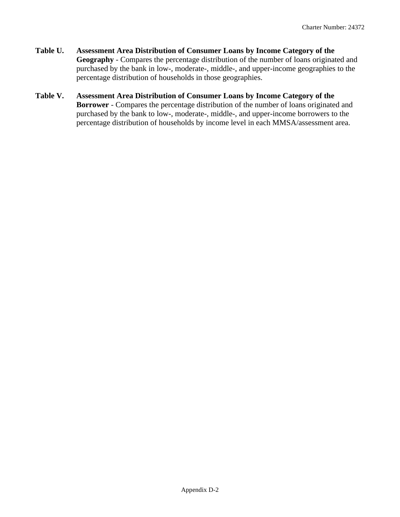- **Table U. Assessment Area Distribution of Consumer Loans by Income Category of the Geography** - Compares the percentage distribution of the number of loans originated and purchased by the bank in low-, moderate-, middle-, and upper-income geographies to the percentage distribution of households in those geographies.
- **Table V. Assessment Area Distribution of Consumer Loans by Income Category of the Borrower** - Compares the percentage distribution of the number of loans originated and purchased by the bank to low-, moderate-, middle-, and upper-income borrowers to the percentage distribution of households by income level in each MMSA/assessment area.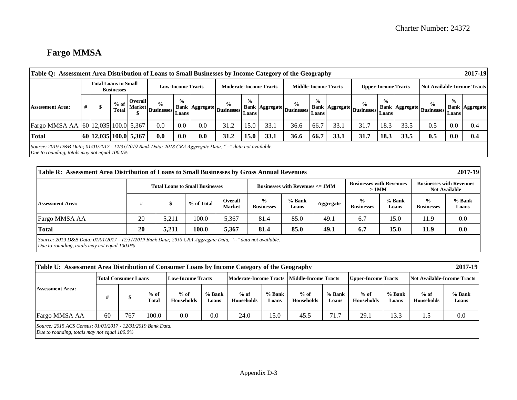# **Fargo MMSA**

| Table O: Assessment Area Distribution of Loans to Small Businesses by Income Category of the Geography |                                                                                                                                                             |                       |                        |                |                                                          |                          |     |                                                  |                |      |                                                  |                |      |                                                      |                         |      |                                                       |                        | 2017-19               |
|--------------------------------------------------------------------------------------------------------|-------------------------------------------------------------------------------------------------------------------------------------------------------------|-----------------------|------------------------|----------------|----------------------------------------------------------|--------------------------|-----|--------------------------------------------------|----------------|------|--------------------------------------------------|----------------|------|------------------------------------------------------|-------------------------|------|-------------------------------------------------------|------------------------|-----------------------|
|                                                                                                        |                                                                                                                                                             | Total Loans to Small  | <b>Businesses</b>      |                |                                                          | <b>Low-Income Tracts</b> |     | <b>Moderate-Income Tracts</b>                    |                |      | <b>Middle-Income Tracts</b>                      |                |      | <b>Upper-Income Tracts</b>                           |                         |      | <b>Not Available-Income Tracts</b>                    |                        |                       |
| <b>Assessment Area:</b>                                                                                |                                                                                                                                                             | \$.                   | $%$ of<br><b>Total</b> | <b>Overall</b> | $\frac{6}{6}$<br>$\cdot$   Market   Businesses   $^{-1}$ | $\frac{6}{10}$<br>Loans  |     | $\frac{0}{0}$<br>[Bank Aggregate Businesses ] De | $\frac{6}{10}$ |      | $\frac{6}{9}$<br>Bank Aggregate Businesses Loans | $\frac{6}{10}$ |      | $\frac{0}{0}$<br>  Bank   Aggregate   Businesses   D | $\frac{6}{10}$<br>Loans |      | $\frac{6}{9}$<br>  Bank   Aggregate   Businesses   Dr | $\frac{0}{0}$<br>Loans | <b>Bank Aggregate</b> |
| Fargo MMSA AA 60 12,035 100.0 5,367                                                                    |                                                                                                                                                             |                       |                        |                | 0.0                                                      | 0.0                      | 0.0 | 31.2                                             | 15.0           | 33.1 | 36.6                                             | 66.7           | 33.1 | 31.7                                                 | 18.3                    | 33.5 | 0.5                                                   | 0.0                    | 0.4                   |
| <b>Total</b>                                                                                           |                                                                                                                                                             | 60 12,035 100.0 5,367 |                        |                | 0.0                                                      | 0.0                      | 0.0 | 31.2                                             | 15.0           | 33.1 | 36.6                                             | 66.7           | 33.1 | 31.7                                                 | 18.3                    | 33.5 | 0.5                                                   | 0.0                    | 0.4                   |
|                                                                                                        | Source: 2019 D&B Data; 01/01/2017 - 12/31/2019 Bank Data; 2018 CRA Aggregate Data, "--" data not available.<br>Due to rounding, totals may not equal 100.0% |                       |                        |                |                                                          |                          |     |                                                  |                |      |                                                  |                |      |                                                      |                         |      |                                                       |                        |                       |

|                         | 2017-19<br>Table R: Assessment Area Distribution of Loans to Small Businesses by Gross Annual Revenues                                                         |       |            |                          |                                    |                   |           |                                            |                 |                                     |                                                         |  |
|-------------------------|----------------------------------------------------------------------------------------------------------------------------------------------------------------|-------|------------|--------------------------|------------------------------------|-------------------|-----------|--------------------------------------------|-----------------|-------------------------------------|---------------------------------------------------------|--|
|                         | <b>Total Loans to Small Businesses</b>                                                                                                                         |       |            |                          |                                    |                   |           | <b>Businesses with Revenues</b><br>$>1$ MM |                 |                                     | <b>Businesses with Revenues</b><br><b>Not Available</b> |  |
| <b>Assessment Area:</b> | #                                                                                                                                                              |       | % of Total | Overall<br><b>Market</b> | $\frac{6}{9}$<br><b>Businesses</b> | $%$ Bank<br>Loans | Aggregate | $\frac{0}{0}$<br><b>Businesses</b>         | % Bank<br>Loans | $\frac{6}{10}$<br><b>Businesses</b> | $%$ Bank<br>Loans                                       |  |
| Fargo MMSA AA           | 20                                                                                                                                                             | 5,211 | 100.0      | 5,367                    | 81.4                               | 85.0              | 49.1      | 6.7                                        | 15.0            | 11.9                                | 0.0                                                     |  |
| <b>Total</b>            | <b>20</b>                                                                                                                                                      | 5.211 | 100.0      | 5,367                    | 81.4                               | 85.0              | 49.1      | 6.7                                        | 15.0            | 11.9                                | 0.0                                                     |  |
|                         | Source: 2019 D&B Data; 01/01/2017 - 12/31/2019 Bank Data; 2018 CRA Aggregate Data, "--" data not available.<br>Due to rounding, totals may not equal $100.0\%$ |       |            |                          |                                    |                   |           |                                            |                 |                                     |                                                         |  |

|                         | 2017-19<br>Table U: Assessment Area Distribution of Consumer Loans by Income Category of the Geography         |     |                 |                          |                   |                      |                   |                                             |                 |                             |                 |                                    |                 |
|-------------------------|----------------------------------------------------------------------------------------------------------------|-----|-----------------|--------------------------|-------------------|----------------------|-------------------|---------------------------------------------|-----------------|-----------------------------|-----------------|------------------------------------|-----------------|
|                         | <b>Total Consumer Loans</b>                                                                                    |     |                 | <b>Low-Income Tracts</b> |                   |                      |                   | Moderate-Income Tracts Middle-Income Tracts |                 | <b>Upper-Income Tracts</b>  |                 | <b>Not Available-Income Tracts</b> |                 |
| <b>Assessment Area:</b> |                                                                                                                |     | $%$ of<br>Total | $%$ of<br>Households     | $%$ Bank<br>Loans | $%$ of<br>Households | $%$ Bank<br>Loans | $%$ of<br>Households                        | % Bank<br>Loans | $%$ of<br><b>Households</b> | % Bank<br>Loans | $%$ of<br><b>Households</b>        | % Bank<br>Loans |
| Fargo MMSA AA           | 60                                                                                                             | 767 | 100.0           | 0.0                      | 0.0               | 24.0                 | 15.0              | 45.5                                        | 71.7            | 29.1                        | 13.3            | 1.5                                | 0.0             |
|                         | Source: 2015 ACS Census; 01/01/2017 - 12/31/2019 Bank Data.<br>Due to rounding, totals may not equal $100.0\%$ |     |                 |                          |                   |                      |                   |                                             |                 |                             |                 |                                    |                 |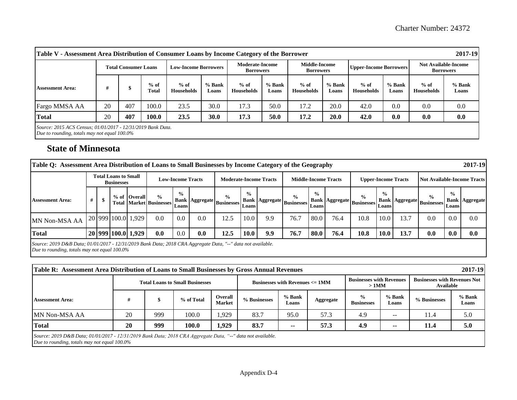|                                                             | 2017-19<br>Table V - Assessment Area Distribution of Consumer Loans by Income Category of the Borrower |                             |                 |                             |                   |                                            |                   |                                   |                   |                               |                   |                      |                                                 |
|-------------------------------------------------------------|--------------------------------------------------------------------------------------------------------|-----------------------------|-----------------|-----------------------------|-------------------|--------------------------------------------|-------------------|-----------------------------------|-------------------|-------------------------------|-------------------|----------------------|-------------------------------------------------|
|                                                             |                                                                                                        | <b>Total Consumer Loans</b> |                 | <b>Low-Income Borrowers</b> |                   | <b>Moderate-Income</b><br><b>Borrowers</b> |                   | Middle-Income<br><b>Borrowers</b> |                   | <b>Upper-Income Borrowers</b> |                   |                      | <b>Not Available-Income</b><br><b>Borrowers</b> |
| <b>Assessment Area:</b>                                     |                                                                                                        |                             | $%$ of<br>Total | $%$ of<br><b>Households</b> | $%$ Bank<br>Loans | $%$ of<br>Households                       | $%$ Bank<br>Loans | $%$ of<br><b>Households</b>       | $%$ Bank<br>Loans | $%$ of<br><b>Households</b>   | $%$ Bank<br>Loans | $%$ of<br>Households | % Bank<br>Loans                                 |
| Fargo MMSA AA                                               | 20                                                                                                     | 407                         | 100.0           | 23.5                        | 30.0              | 17.3                                       | 50.0              | 17.2                              | 20.0              | 42.0                          | 0.0               | 0.0                  | 0.0                                             |
| <b>Total</b>                                                | 20                                                                                                     | 407                         | 100.0           | 23.5                        | <b>30.0</b>       | 17.3                                       | 50.0              | 17.2                              | 20.0              | 42.0                          | 0.0               | 0.0                  | 0.0                                             |
| Source: 2015 ACS Census; 01/01/2017 - 12/31/2019 Bank Data. |                                                                                                        |                             |                 |                             |                   |                                            |                   |                                   |                   |                               |                   |                      |                                                 |

 *Due to rounding, totals may not equal 100.0%* 

### **State of Minnesota**

| 2017-19<br>Table Q: Assessment Area Distribution of Loans to Small Businesses by Income Category of the Geography                                              |                                                  |  |  |                          |                                                 |                        |                               |                                                      |                |                             |                                                  |               |                            |                                                  |               |                                    |                                                  |               |                       |
|----------------------------------------------------------------------------------------------------------------------------------------------------------------|--------------------------------------------------|--|--|--------------------------|-------------------------------------------------|------------------------|-------------------------------|------------------------------------------------------|----------------|-----------------------------|--------------------------------------------------|---------------|----------------------------|--------------------------------------------------|---------------|------------------------------------|--------------------------------------------------|---------------|-----------------------|
|                                                                                                                                                                | <b>Total Loans to Small</b><br><b>Businesses</b> |  |  | <b>Low-Income Tracts</b> |                                                 |                        | <b>Moderate-Income Tracts</b> |                                                      |                | <b>Middle-Income Tracts</b> |                                                  |               | <b>Upper-Income Tracts</b> |                                                  |               | <b>Not Available-Income Tracts</b> |                                                  |               |                       |
| <b>Assessment Area:</b>                                                                                                                                        | #                                                |  |  | % of Overall             | $\frac{0}{0}$<br><b>Total Market Businesses</b> | $\frac{0}{0}$<br>Loans |                               | $\frac{6}{9}$<br>  Bank   Aggregate   Businesses   D | $\frac{6}{10}$ |                             | $\frac{0}{0}$<br>Bank Aggregate Businesses Loans | $\frac{0}{0}$ |                            | $\frac{0}{0}$<br>Bank Aggregate Businesses Loans | $\frac{0}{0}$ |                                    | $\frac{6}{9}$<br>Bank Aggregate Businesses Loans | $\frac{0}{0}$ | <b>Bank Aggregate</b> |
| MN Non-MSA AA                                                                                                                                                  |                                                  |  |  | 20 999 100.0 1,929       | 0.0                                             | 0.0                    | 0.0                           | 12.5                                                 | 10.0           | 9.9                         | 76.7                                             | 80.0          | 76.4                       | 10.8                                             | 10.0          | 13.7                               | 0.0                                              | 0.0           | 0.0                   |
| <b>Total</b>                                                                                                                                                   |                                                  |  |  | 20 999 100.0 1,929       | 0.0                                             | 0.0                    | 0.0                           | 12.5                                                 | 10.0           | 9.9                         | 76.7                                             | 80.0          | 76.4                       | 10.8                                             | 10.0          | 13.7                               | 0.0                                              | 0.0           | 0.0                   |
| Source: 2019 D&B Data; 01/01/2017 - 12/31/2019 Bank Data; 2018 CRA Aggregate Data, "--" data not available.<br>Due to rounding, totals may not equal $100.0\%$ |                                                  |  |  |                          |                                                 |                        |                               |                                                      |                |                             |                                                  |               |                            |                                                  |               |                                    |                                                  |               |                       |

| 2017-19<br>Table R: Assessment Area Distribution of Loans to Small Businesses by Gross Annual Revenues      |    |     |                                        |                          |              |                                      |           |                                            |                   |                                                  |                   |  |
|-------------------------------------------------------------------------------------------------------------|----|-----|----------------------------------------|--------------------------|--------------|--------------------------------------|-----------|--------------------------------------------|-------------------|--------------------------------------------------|-------------------|--|
|                                                                                                             |    |     | <b>Total Loans to Small Businesses</b> |                          |              | Businesses with Revenues $\leq 1$ MM |           | <b>Businesses with Revenues</b><br>$>1$ MM |                   | <b>Businesses with Revenues Not</b><br>Available |                   |  |
| <b>Assessment Area:</b>                                                                                     |    |     | % of Total                             | Overall<br><b>Market</b> | % Businesses | $%$ Bank<br>Loans                    | Aggregate | $\frac{6}{9}$<br><b>Businesses</b>         | $%$ Bank<br>Loans | % Businesses                                     | $%$ Bank<br>Loans |  |
| MN Non-MSA AA                                                                                               | 20 | 999 | 100.0                                  | .929                     | 83.7         | 95.0                                 | 57.3      | 4.9                                        | --                | 11.4                                             | 5.0               |  |
| <b>Total</b>                                                                                                | 20 | 999 | 100.0                                  | 1,929                    | 83.7         | --                                   | 57.3      | 4.9                                        | --                | 11.4                                             | 5.0               |  |
| Source: 2019 D&B Data; 01/01/2017 - 12/31/2019 Bank Data; 2018 CRA Aggregate Data, "--" data not available. |    |     |                                        |                          |              |                                      |           |                                            |                   |                                                  |                   |  |

 *Due to rounding, totals may not equal 100.0%*